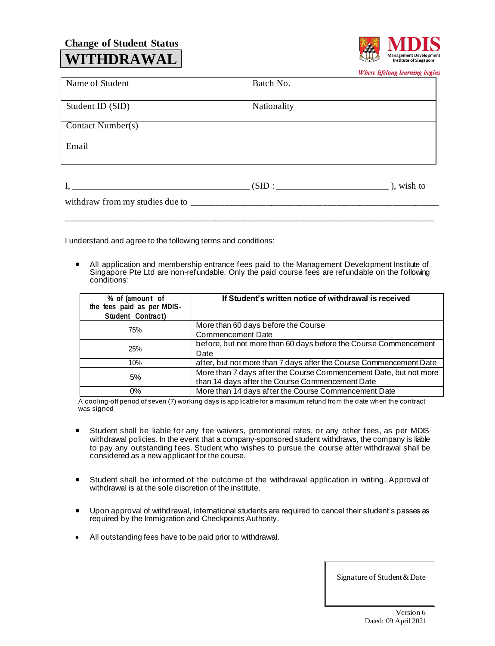## **Change of Student Status WITHDRAWAL**



Where lifelong learning begins

|                                               |             | $\bullet$<br>ືອ     |
|-----------------------------------------------|-------------|---------------------|
| Name of Student                               | Batch No.   |                     |
| Student ID (SID)                              | Nationality |                     |
| Contact Number(s)                             |             |                     |
| Email                                         |             |                     |
| <u> 1980 - Andrea Andrew Maria (h. 1980).</u> | (SID:       | $\lambda$ , wish to |
| withdraw from my studies due to _________     |             |                     |

I understand and agree to the following terms and conditions:

• All application and membership entrance fees paid to the Management Development Institute of Singapore Pte Ltd are non-refundable. Only the paid course fees are refundable on the following conditions:

\_\_\_\_\_\_\_\_\_\_\_\_\_\_\_\_\_\_\_\_\_\_\_\_\_\_\_\_\_\_\_\_\_\_\_\_\_\_\_\_\_\_\_\_\_\_\_\_\_\_\_\_\_\_\_\_\_\_\_\_\_\_\_\_\_\_\_\_\_\_\_\_\_\_\_\_\_\_\_

| % of (amount of<br>the fees paid as per MDIS-<br>Student Contract) | If Student's written notice of withdrawal is received              |  |  |
|--------------------------------------------------------------------|--------------------------------------------------------------------|--|--|
| 75%                                                                | More than 60 days before the Course                                |  |  |
|                                                                    | <b>Commencement Date</b>                                           |  |  |
| 25%                                                                | before, but not more than 60 days before the Course Commencement   |  |  |
|                                                                    | Date                                                               |  |  |
| 10%                                                                | after, but not more than 7 days after the Course Commencement Date |  |  |
| 5%                                                                 | More than 7 days after the Course Commencement Date, but not more  |  |  |
|                                                                    | than 14 days after the Course Commencement Date                    |  |  |
| 0%                                                                 | More than 14 days after the Course Commencement Date               |  |  |

A cooling-off period of seven (7) working days is applicable for a maximum refund from the date when the contract was signed

- Student shall be liable for any fee waivers, promotional rates, or any other fees, as per MDIS withdrawal policies. In the event that a company-sponsored student withdraws, the company is liable to pay any outstanding fees. Student who wishes to pursue the course after withdrawal shall be considered as a new applicant for the course.
- Student shall be informed of the outcome of the withdrawal application in writing. Approval of withdrawal is at the sole discretion of the institute.
- Upon approval of withdrawal, international students are required to cancel their student's passes as required by the Immigration and Checkpoints Authority.
- All outstanding fees have to be paid prior to withdrawal.

Signature of Student & Date